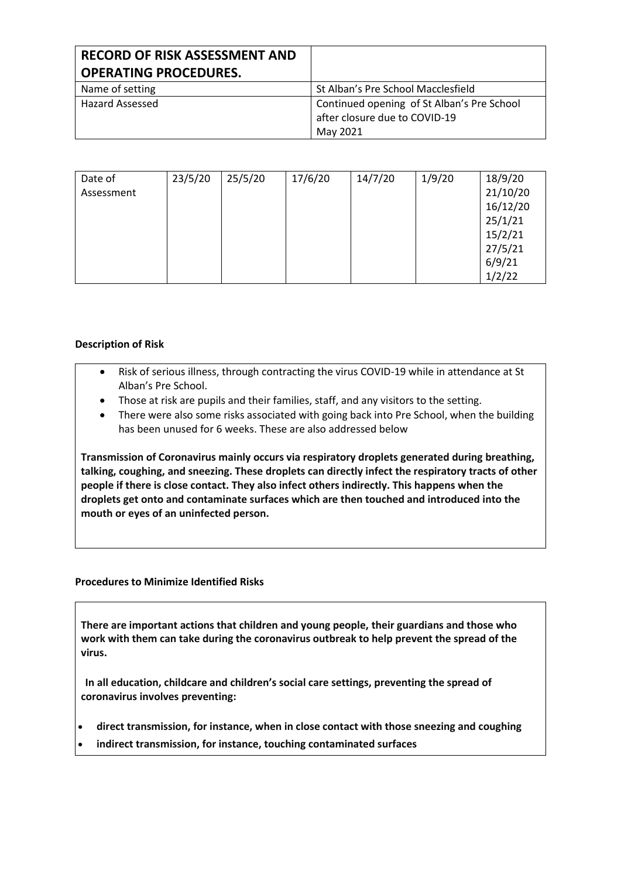| <b>RECORD OF RISK ASSESSMENT AND</b><br><b>OPERATING PROCEDURES.</b> |                                                                                         |
|----------------------------------------------------------------------|-----------------------------------------------------------------------------------------|
| Name of setting                                                      | St Alban's Pre School Macclesfield                                                      |
| <b>Hazard Assessed</b>                                               | Continued opening of St Alban's Pre School<br>after closure due to COVID-19<br>May 2021 |

| Date of    | 23/5/20 | 25/5/20 | 17/6/20 | 14/7/20 | 1/9/20 | 18/9/20  |
|------------|---------|---------|---------|---------|--------|----------|
| Assessment |         |         |         |         |        | 21/10/20 |
|            |         |         |         |         |        | 16/12/20 |
|            |         |         |         |         |        | 25/1/21  |
|            |         |         |         |         |        | 15/2/21  |
|            |         |         |         |         |        | 27/5/21  |
|            |         |         |         |         |        | 6/9/21   |
|            |         |         |         |         |        | 1/2/22   |

## **Description of Risk**

- Risk of serious illness, through contracting the virus COVID-19 while in attendance at St Alban's Pre School.
- Those at risk are pupils and their families, staff, and any visitors to the setting.
- There were also some risks associated with going back into Pre School, when the building has been unused for 6 weeks. These are also addressed below

**Transmission of Coronavirus mainly occurs via respiratory droplets generated during breathing, talking, coughing, and sneezing. These droplets can directly infect the respiratory tracts of other people if there is close contact. They also infect others indirectly. This happens when the droplets get onto and contaminate surfaces which are then touched and introduced into the mouth or eyes of an uninfected person.**

#### **Procedures to Minimize Identified Risks**

**There are important actions that children and young people, their guardians and those who work with them can take during the coronavirus outbreak to help prevent the spread of the virus.**

**In all education, childcare and children's social care settings, preventing the spread of coronavirus involves preventing:**

- **direct transmission, for instance, when in close contact with those sneezing and coughing**
- **indirect transmission, for instance, touching contaminated surfaces**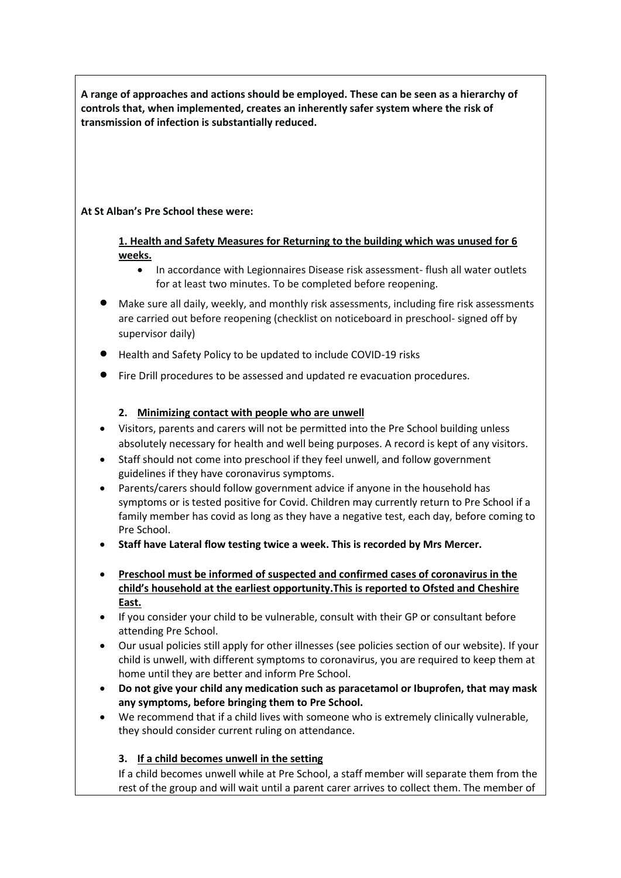**A range of approaches and actions should be employed. These can be seen as a hierarchy of controls that, when implemented, creates an inherently safer system where the risk of transmission of infection is substantially reduced.** 

## **At St Alban's Pre School these were:**

**1. Health and Safety Measures for Returning to the building which was unused for 6 weeks.**

- In accordance with Legionnaires Disease risk assessment- flush all water outlets for at least two minutes. To be completed before reopening.
- Make sure all daily, weekly, and monthly risk assessments, including fire risk assessments are carried out before reopening (checklist on noticeboard in preschool- signed off by supervisor daily)
- Health and Safety Policy to be updated to include COVID-19 risks
- Fire Drill procedures to be assessed and updated re evacuation procedures.

## **2. Minimizing contact with people who are unwell**

- Visitors, parents and carers will not be permitted into the Pre School building unless absolutely necessary for health and well being purposes. A record is kept of any visitors.
- Staff should not come into preschool if they feel unwell, and follow government guidelines if they have coronavirus symptoms.
- Parents/carers should follow government advice if anyone in the household has symptoms or is tested positive for Covid. Children may currently return to Pre School if a family member has covid as long as they have a negative test, each day, before coming to Pre School.
- **Staff have Lateral flow testing twice a week. This is recorded by Mrs Mercer.**
- **Preschool must be informed of suspected and confirmed cases of coronavirus in the child's household at the earliest opportunity.This is reported to Ofsted and Cheshire East.**
- If you consider your child to be vulnerable, consult with their GP or consultant before attending Pre School.
- Our usual policies still apply for other illnesses (see policies section of our website). If your child is unwell, with different symptoms to coronavirus, you are required to keep them at home until they are better and inform Pre School.
- **Do not give your child any medication such as paracetamol or Ibuprofen, that may mask any symptoms, before bringing them to Pre School.**
- We recommend that if a child lives with someone who is extremely clinically vulnerable, they should consider current ruling on attendance.

## **3. If a child becomes unwell in the setting**

If a child becomes unwell while at Pre School, a staff member will separate them from the rest of the group and will wait until a parent carer arrives to collect them. The member of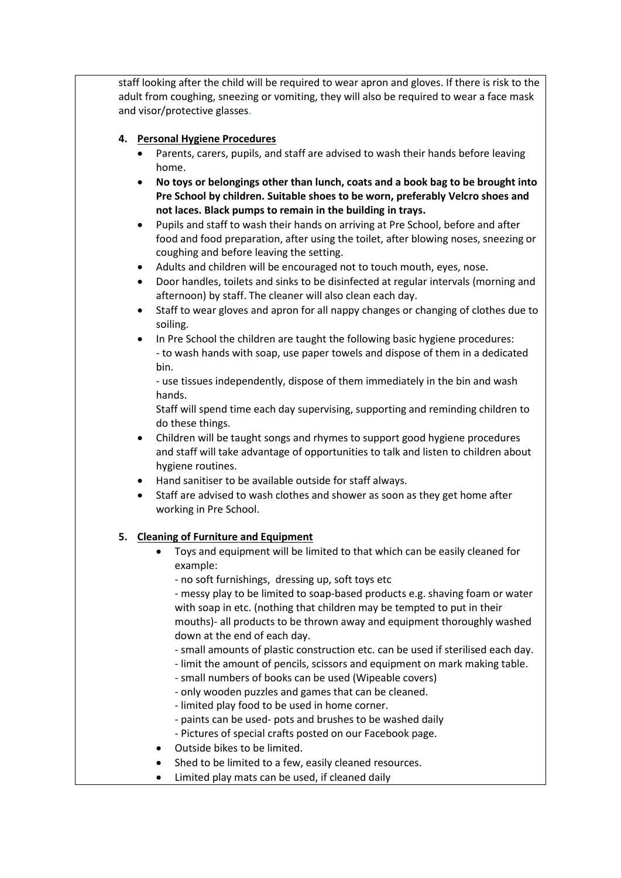staff looking after the child will be required to wear apron and gloves. If there is risk to the adult from coughing, sneezing or vomiting, they will also be required to wear a face mask and visor/protective glasses.

## **4. Personal Hygiene Procedures**

- Parents, carers, pupils, and staff are advised to wash their hands before leaving home.
- **No toys or belongings other than lunch, coats and a book bag to be brought into Pre School by children. Suitable shoes to be worn, preferably Velcro shoes and not laces. Black pumps to remain in the building in trays.**
- Pupils and staff to wash their hands on arriving at Pre School, before and after food and food preparation, after using the toilet, after blowing noses, sneezing or coughing and before leaving the setting.
- Adults and children will be encouraged not to touch mouth, eyes, nose.
- Door handles, toilets and sinks to be disinfected at regular intervals (morning and afternoon) by staff. The cleaner will also clean each day.
- Staff to wear gloves and apron for all nappy changes or changing of clothes due to soiling.
- In Pre School the children are taught the following basic hygiene procedures: - to wash hands with soap, use paper towels and dispose of them in a dedicated bin.

- use tissues independently, dispose of them immediately in the bin and wash hands.

Staff will spend time each day supervising, supporting and reminding children to do these things.

- Children will be taught songs and rhymes to support good hygiene procedures and staff will take advantage of opportunities to talk and listen to children about hygiene routines.
- Hand sanitiser to be available outside for staff always.
- Staff are advised to wash clothes and shower as soon as they get home after working in Pre School.

## **5. Cleaning of Furniture and Equipment**

- Toys and equipment will be limited to that which can be easily cleaned for example:
	- no soft furnishings, dressing up, soft toys etc

- messy play to be limited to soap-based products e.g. shaving foam or water with soap in etc. (nothing that children may be tempted to put in their mouths)- all products to be thrown away and equipment thoroughly washed down at the end of each day.

- small amounts of plastic construction etc. can be used if sterilised each day.
- limit the amount of pencils, scissors and equipment on mark making table.
- small numbers of books can be used (Wipeable covers)
- only wooden puzzles and games that can be cleaned.
- limited play food to be used in home corner.
- paints can be used- pots and brushes to be washed daily
- Pictures of special crafts posted on our Facebook page.
- Outside bikes to be limited.
- Shed to be limited to a few, easily cleaned resources.
- Limited play mats can be used, if cleaned daily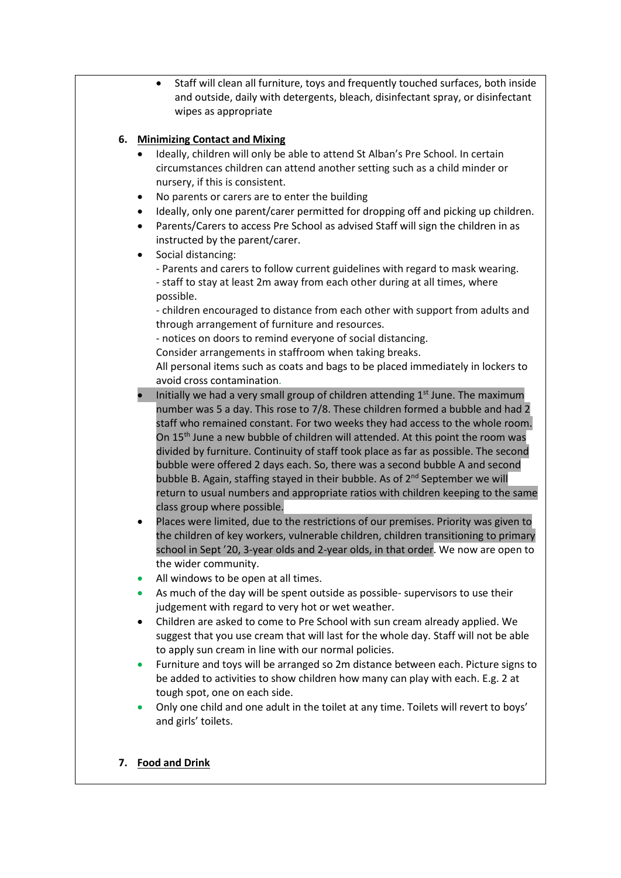• Staff will clean all furniture, toys and frequently touched surfaces, both inside and outside, daily with detergents, bleach, disinfectant spray, or disinfectant wipes as appropriate

## **6. Minimizing Contact and Mixing**

- Ideally, children will only be able to attend St Alban's Pre School. In certain circumstances children can attend another setting such as a child minder or nursery, if this is consistent.
- No parents or carers are to enter the building
- Ideally, only one parent/carer permitted for dropping off and picking up children.
- Parents/Carers to access Pre School as advised Staff will sign the children in as instructed by the parent/carer.
- Social distancing:
	- Parents and carers to follow current guidelines with regard to mask wearing. - staff to stay at least 2m away from each other during at all times, where possible.

- children encouraged to distance from each other with support from adults and through arrangement of furniture and resources.

- notices on doors to remind everyone of social distancing.

Consider arrangements in staffroom when taking breaks.

All personal items such as coats and bags to be placed immediately in lockers to avoid cross contamination.

- Initially we had a very small group of children attending  $1<sup>st</sup>$  June. The maximum number was 5 a day. This rose to 7/8. These children formed a bubble and had 2 staff who remained constant. For two weeks they had access to the whole room. On 15<sup>th</sup> June a new bubble of children will attended. At this point the room was divided by furniture. Continuity of staff took place as far as possible. The second bubble were offered 2 days each. So, there was a second bubble A and second bubble B. Again, staffing stayed in their bubble. As of 2<sup>nd</sup> September we will return to usual numbers and appropriate ratios with children keeping to the same class group where possible.
- Places were limited, due to the restrictions of our premises. Priority was given to the children of key workers, vulnerable children, children transitioning to primary school in Sept '20, 3-year olds and 2-year olds, in that order. We now are open to the wider community.
- All windows to be open at all times.
- As much of the day will be spent outside as possible- supervisors to use their judgement with regard to very hot or wet weather.
- Children are asked to come to Pre School with sun cream already applied. We suggest that you use cream that will last for the whole day. Staff will not be able to apply sun cream in line with our normal policies.
- Furniture and toys will be arranged so 2m distance between each. Picture signs to be added to activities to show children how many can play with each. E.g. 2 at tough spot, one on each side.
- Only one child and one adult in the toilet at any time. Toilets will revert to boys' and girls' toilets.
- **7. Food and Drink**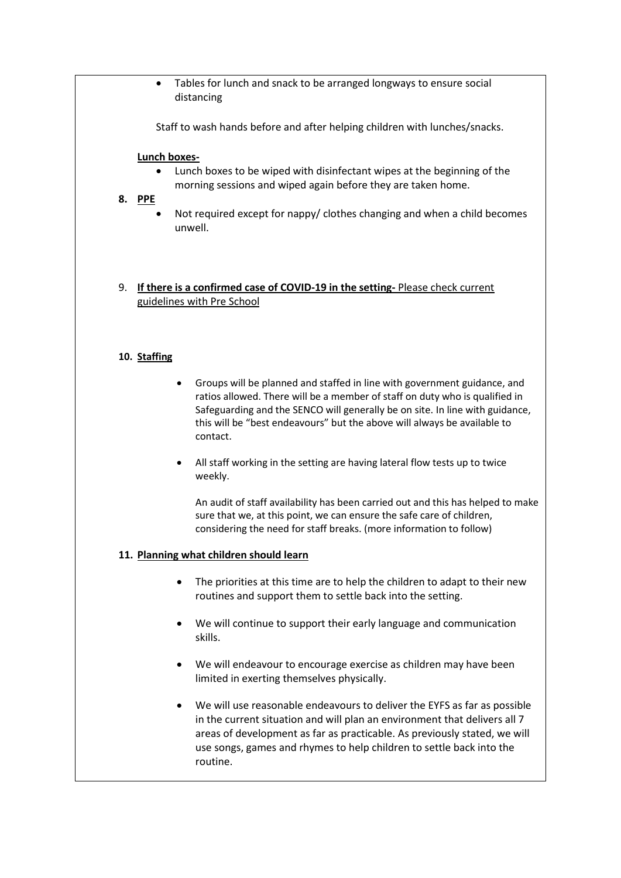• Tables for lunch and snack to be arranged longways to ensure social distancing

Staff to wash hands before and after helping children with lunches/snacks.

#### **Lunch boxes-**

• Lunch boxes to be wiped with disinfectant wipes at the beginning of the morning sessions and wiped again before they are taken home.

## **8. PPE**

- Not required except for nappy/ clothes changing and when a child becomes unwell.
- 9. **If there is a confirmed case of COVID-19 in the setting-** Please check current guidelines with Pre School

## **10. Staffing**

- Groups will be planned and staffed in line with government guidance, and ratios allowed. There will be a member of staff on duty who is qualified in Safeguarding and the SENCO will generally be on site. In line with guidance, this will be "best endeavours" but the above will always be available to contact.
- All staff working in the setting are having lateral flow tests up to twice weekly.

An audit of staff availability has been carried out and this has helped to make sure that we, at this point, we can ensure the safe care of children, considering the need for staff breaks. (more information to follow)

#### **11. Planning what children should learn**

- The priorities at this time are to help the children to adapt to their new routines and support them to settle back into the setting.
- We will continue to support their early language and communication skills.
- We will endeavour to encourage exercise as children may have been limited in exerting themselves physically.
- We will use reasonable endeavours to deliver the EYFS as far as possible in the current situation and will plan an environment that delivers all 7 areas of development as far as practicable. As previously stated, we will use songs, games and rhymes to help children to settle back into the routine.